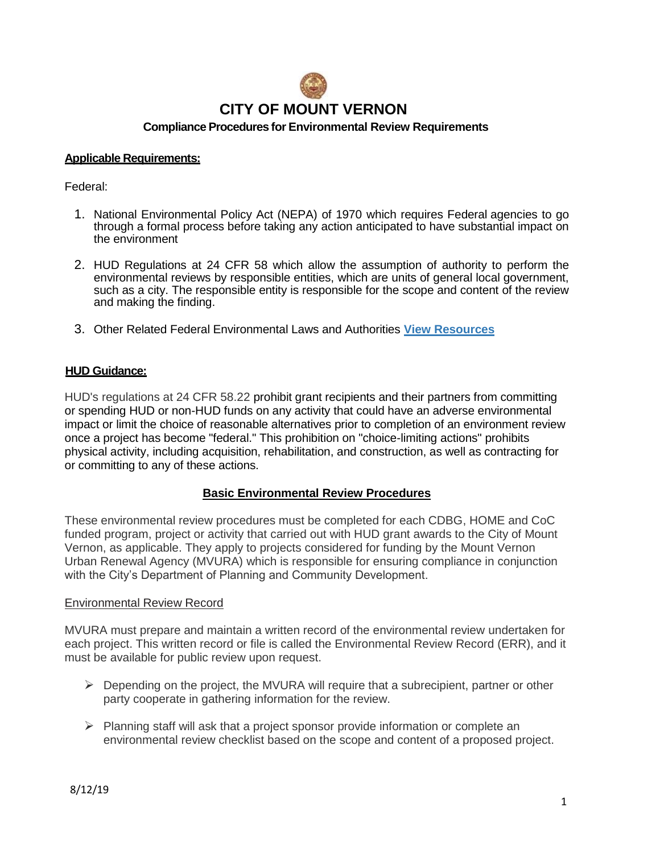

## **Applicable Requirements:**

Federal:

- 1. National Environmental Policy Act (NEPA) of 1970 which requires Federal agencies to go through a formal process before taking any action anticipated to have substantial impact on the environment
- 2. HUD Regulations at 24 CFR 58 which allow the assumption of authority to perform the environmental reviews by responsible entities, which are units of general local government, such as a city. The responsible entity is responsible for the scope and content of the review and making the finding.
- 3. Other Related Federal Environmental Laws and Authorities **[View Resources](https://www.hudexchange.info/programs/environmental-review/federal-related-laws-and-authorities)**

# **HUD Guidance:**

HUD's regulations at 24 CFR 58.22 prohibit grant recipients and their partners from committing or spending HUD or non-HUD funds on any activity that could have an adverse environmental impact or limit the choice of reasonable alternatives prior to completion of an environment review once a project has become "federal." This prohibition on "choice-limiting actions" prohibits physical activity, including acquisition, rehabilitation, and construction, as well as contracting for or committing to any of these actions.

### **Basic Environmental Review Procedures**

These environmental review procedures must be completed for each CDBG, HOME and CoC funded program, project or activity that carried out with HUD grant awards to the City of Mount Vernon, as applicable. They apply to projects considered for funding by the Mount Vernon Urban Renewal Agency (MVURA) which is responsible for ensuring compliance in conjunction with the City's Department of Planning and Community Development.

### Environmental Review Record

MVURA must prepare and maintain a written record of the environmental review undertaken for each project. This written record or file is called the Environmental Review Record (ERR), and it must be available for public review upon request.

- $\triangleright$  Depending on the project, the MVURA will require that a subrecipient, partner or other party cooperate in gathering information for the review.
- $\triangleright$  Planning staff will ask that a project sponsor provide information or complete an environmental review checklist based on the scope and content of a proposed project.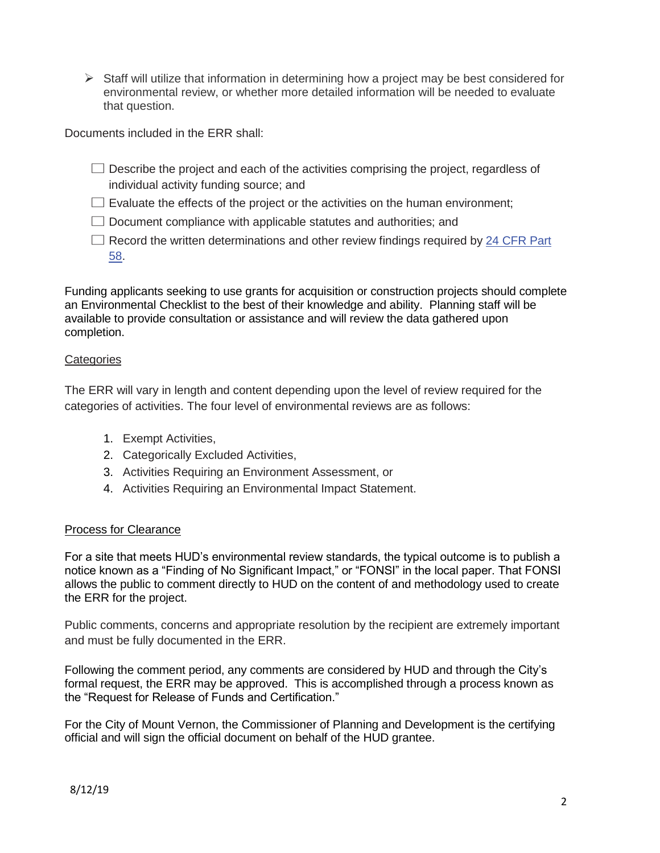$\triangleright$  Staff will utilize that information in determining how a project may be best considered for environmental review, or whether more detailed information will be needed to evaluate that question.

Documents included in the ERR shall:

- $\square$  Describe the project and each of the activities comprising the project, regardless of individual activity funding source; and
- $\square$  Evaluate the effects of the project or the activities on the human environment;
- $\square$  Document compliance with applicable statutes and authorities; and
- $\square$  Record the written determinations and other review findings required by 24 CFR Part 58.

Funding applicants seeking to use grants for acquisition or construction projects should complete an Environmental Checklist to the best of their knowledge and ability. Planning staff will be available to provide consultation or assistance and will review the data gathered upon completion.

# **Categories**

The ERR will vary in length and content depending upon the level of review required for the categories of activities. The four level of environmental reviews are as follows:

- 1. Exempt Activities,
- 2. Categorically Excluded Activities,
- 3. Activities Requiring an Environment Assessment, or
- 4. Activities Requiring an Environmental Impact Statement.

# Process for Clearance

For a site that meets HUD's environmental review standards, the typical outcome is to publish a notice known as a "Finding of No Significant Impact," or "FONSI" in the local paper. That FONSI allows the public to comment directly to HUD on the content of and methodology used to create the ERR for the project.

Public comments, concerns and appropriate resolution by the recipient are extremely important and must be fully documented in the ERR.

Following the comment period, any comments are considered by HUD and through the City's formal request, the ERR may be approved. This is accomplished through a process known as the "Request for Release of Funds and Certification."

For the City of Mount Vernon, the Commissioner of Planning and Development is the certifying official and will sign the official document on behalf of the HUD grantee.